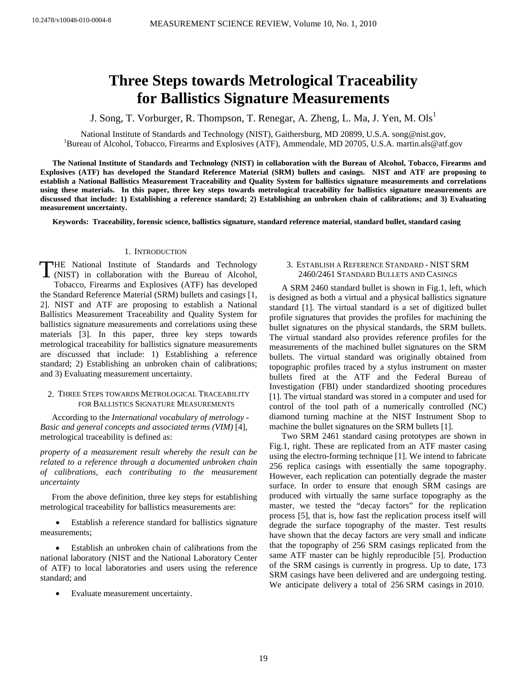# **Three Steps towards Metrological Traceability for Ballistics Signature Measurements**

J. Song, T. Vorburger, R. Thompson, T. Renegar, A. Zheng, L. Ma, J. Yen, M. Ols<sup>1</sup>

National Institute of Standards and Technology (NIST), Gaithersburg, MD 20899, U.S.A. [song@nist.gov,](mailto:song@nist.gov) 1 <sup>1</sup>Bureau of Alcohol, Tobacco, Firearms and Explosives (ATF), Ammendale, MD 20705, U.S.A. martin.als@atf.gov

**The National Institute of Standards and Technology (NIST) in collaboration with the Bureau of Alcohol, Tobacco, Firearms and Explosives (ATF) has developed the Standard Reference Material (SRM) bullets and casings. NIST and ATF are proposing to establish a National Ballistics Measurement Traceability and Quality System for ballistics signature measurements and correlations using these materials. In this paper, three key steps towards metrological traceability for ballistics signature measurements are discussed that include: 1) Establishing a reference standard; 2) Establishing an unbroken chain of calibrations; and 3) Evaluating measurement uncertainty.** 

**Keywords: Traceability, forensic science, ballistics signature, standard reference material, standard bullet, standard casing** 

#### 1. INTRODUCTION

H E National Institute of Standards and Technology THE National Institute of Standards and Technology (NIST) in collaboration with the Bureau of Alcohol, T obacco, Firearms and Explosives (ATF) has developed the Standard Reference Material (SRM) bullets and casings [1, 2]. NIST and ATF are proposing to establish a National Ballistics Measurement Traceability and Quality System for ballistics signature measurements and correlations using these materials [3]. In this paper, three key steps towards metrological traceability for ballistics signature measurements are discussed that include: 1) Establishing a reference standard; 2) Establishing an unbroken chain of calibrations; and 3) Evaluating measurement uncertainty.

# 2. THREE STEPS TOWARDS METROLOGICAL TRACEABILITY FOR BALLISTICS SIGNATURE MEASUREMENTS

 According to the *International vocabulary of metrology - Basic and general concepts and associated terms (VIM)* [4], metrological traceability is defined as:

*property of a measurement result whereby the result can be related to a reference through a documented unbroken chain of calibrations, each contributing to the measurement uncertainty*

From the above definition, three key steps for establishing metrological traceability for ballistics measurements are:

• Establish a reference standard for ballistics signature measurements;

Establish an unbroken chain of calibrations from the national laboratory (NIST and the National Laboratory Center of ATF) to local laboratories and users using the reference standard; and

Evaluate measurement uncertainty.

# 3. ESTABLISH A REFERENCE STANDARD - NIST SRM 2460/2461 STANDARD BULLETS AND CASINGS

A SRM 2460 standard bullet is shown in Fig.1, left, which is designed as both a virtual and a physical ballistics signature standard [1]. The virtual standard is a set of digitized bullet profile signatures that provides the profiles for machining the bullet signatures on the physical standards, the SRM bullets. The virtual standard also provides reference profiles for the measurements of the machined bullet signatures on the SRM bullets. The virtual standard was originally obtained from topographic profiles traced by a stylus instrument on master bullets fired at the ATF and the Federal Bureau of Investigation (FBI) under standardized shooting procedures [1]. The virtual standard was stored in a computer and used for control of the tool path of a numerically controlled (NC) diamond turning machine at the NIST Instrument Shop to machine the bullet signatures on the SRM bullets [1].

Two SRM 2461 standard casing prototypes are shown in Fig.1, right. These are replicated from an ATF master casing using the electro-forming technique [1]. We intend to fabricate 256 replica casings with essentially the same topography. However, each replication can potentially degrade the master surface. In order to ensure that enough SRM casings are produced with virtually the same surface topography as the master, we tested the "decay factors" for the replication process [5], that is, how fast the replication process itself will degrade the surface topography of the master. Test results have shown that the decay factors are very small and indicate that the topography of 256 SRM casings replicated from the same ATF master can be highly reproducible [5]. Production of the SRM casings is currently in progress. Up to date, 173 SRM casings have been delivered and are undergoing testing. We anticipate delivery a total of 256 SRM casings in 2010.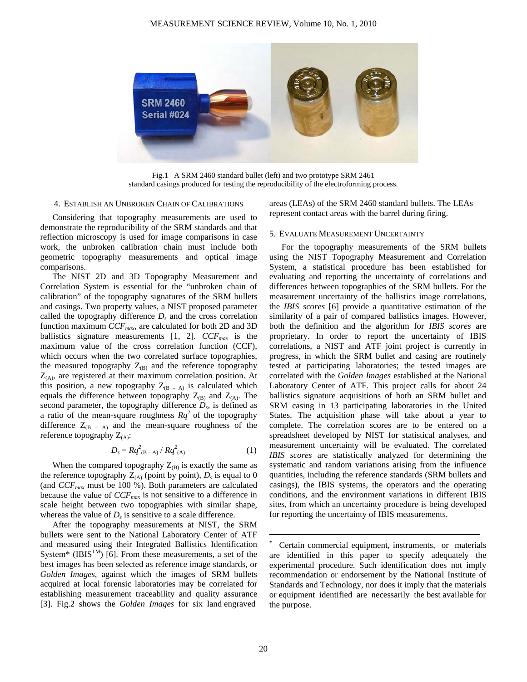## MEASUREMENT SCIENCE REVIEW, Volume 10, No. 1, 2010



Fig.1 A SRM 2460 standard bullet (left) and two prototype SRM 2461 standard casings produced for testing the reproducibility of the electroforming process.

#### 4. ESTABLISH AN UNBROKEN CHAIN OF CALIBRATIONS

Considering that topography measurements are used to demonstrate the reproducibility of the SRM standards and that reflection microscopy is used for image comparisons in case work, the unbroken calibration chain must include both geometric topography measurements and optical image comparisons.

The NIST 2D and 3D Topography Measurement and Correlation System is essential for the "unbroken chain of calibration" of the topography signatures of the SRM bullets and casings. Two property values, a NIST proposed parameter called the topography difference  $D<sub>s</sub>$  and the cross correlation function maximum *CCFmax*, are calculated for both 2D and 3D ballistics signature measurements  $[1, 2]$ .  $CCF_{max}$  is the maximum value of the cross correlation function (CCF), which occurs when the two correlated surface topographies, the measured topography  $Z_{(B)}$  and the reference topography  $Z_{(A)}$ , are registered at their maximum correlation position. At this position, a new topography  $Z_{(B - A)}$  is calculated which equals the difference between topography  $Z_{(B)}$  and  $Z_{(A)}$ . The second parameter, the topography difference *Ds*, is defined as a ratio of the mean-square roughness  $Rq^2$  of the topography difference  $Z_{(B - A)}$  and the mean-square roughness of the reference topography  $Z_{(A)}$ :

$$
D_s = Rq_{(B-A)}^2 / Rq_{(A)}^2 \tag{1}
$$

When the compared topography  $Z_{(B)}$  is exactly the same as the reference topography  $Z_{(A)}$  (point by point),  $D_s$  is equal to 0 (and *CCFmax* must be 100 %). Both parameters are calculated because the value of  $CCF_{max}$  is not sensitive to a difference in scale height between two topographies with similar shape, whereas the value of  $D<sub>s</sub>$  is sensitive to a scale difference.

After the topography measurements at NIST, the SRM bullets were sent to the National Laboratory Center of ATF and measured using their Integrated Ballistics Identification System\* (IBIS<sup>TM</sup>) [6]. From these measurements, a set of the best images has been selected as reference image standards, or *Golden Images*, against which the images of SRM bullets acquired at local forensic laboratories may be correlated for establishing measurement traceability and quality assurance [3]. Fig.2 shows the *Golden Images* for six land engraved

areas (LEAs) of the SRM 2460 standard bullets. The LEAs represent contact areas with the barrel during firing.

### 5. EVALUATE MEASUREMENT UNCERTAINTY

For the topography measurements of the SRM bullets using the NIST Topography Measurement and Correlation System, a statistical procedure has been established for evaluating and reporting the uncertainty of correlations and differences between topographies of the SRM bullets. For the measurement uncertainty of the ballistics image correlations, the *IBIS scores* [6] provide a quantitative estimation of the similarity of a pair of compared ballistics images. However, both the definition and the algorithm for *IBIS scores* are proprietary. In order to report the uncertainty of IBIS correlations, a NIST and ATF joint project is currently in progress, in which the SRM bullet and casing are routinely tested at participating laboratories; the tested images are correlated with the *Golden Images* established at the National Laboratory Center of ATF. This project calls for about 24 ballistics signature acquisitions of both an SRM bullet and SRM casing in 13 participating laboratories in the United States. The acquisition phase will take about a year to complete. The correlation scores are to be entered on a spreadsheet developed by NIST for statistical analyses, and measurement uncertainty will be evaluated. The correlated *IBIS scores* are statistically analyzed for determining the systematic and random variations arising from the influence quantities, including the reference standards (SRM bullets and casings), the IBIS systems, the operators and the operating conditions, and the environment variations in different IBIS sites, from which an uncertainty procedure is being developed for reporting the uncertainty of IBIS measurements.

Certain commercial equipment, instruments, or materials are identified in this paper to specify adequately the experimental procedure. Such identification does not imply recommendation or endorsement by the National Institute of Standards and Technology, nor does it imply that the materials or equipment identified are necessarily the best available for the purpose.